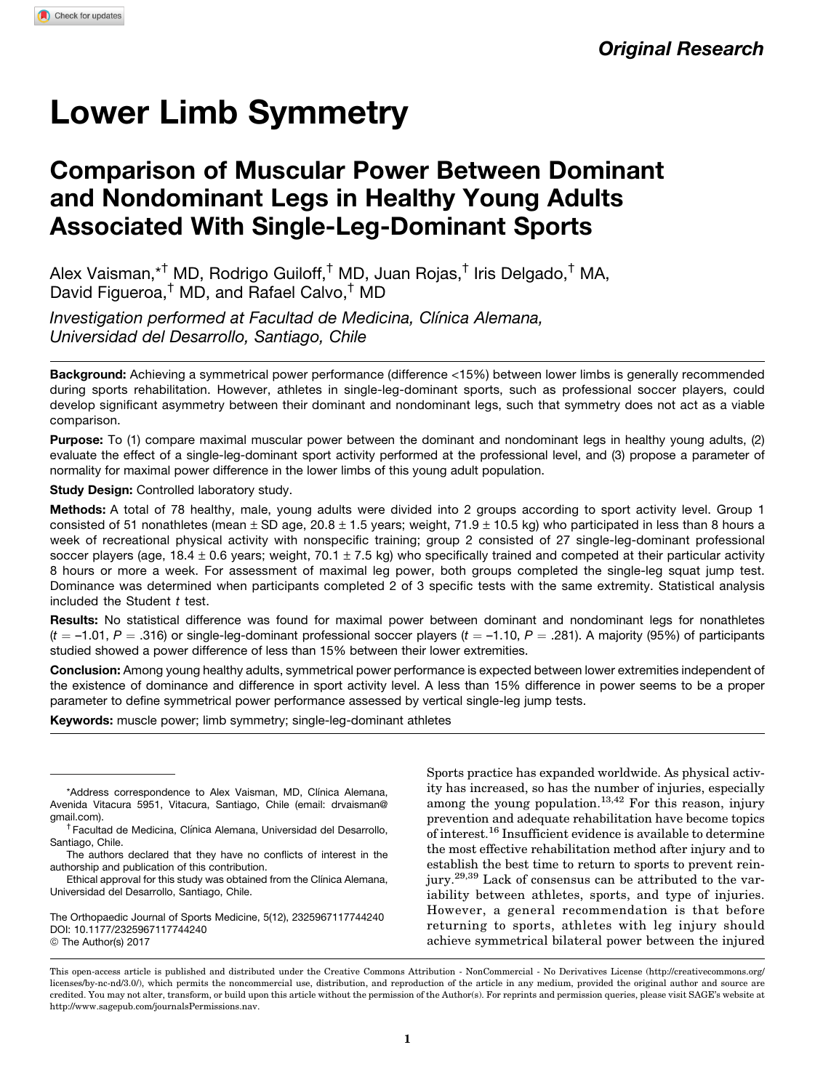# Lower Limb Symmetry

# Comparison of Muscular Power Between Dominant and Nondominant Legs in Healthy Young Adults Associated With Single-Leg-Dominant Sports

Alex Vaisman,\*† MD, Rodrigo Guiloff,† MD, Juan Rojas,† Iris Delgado,† MA, David Figueroa,† MD, and Rafael Calvo,† MD

Investigation performed at Facultad de Medicina, Clínica Alemana, Universidad del Desarrollo, Santiago, Chile

Background: Achieving a symmetrical power performance (difference <15%) between lower limbs is generally recommended during sports rehabilitation. However, athletes in single-leg-dominant sports, such as professional soccer players, could develop significant asymmetry between their dominant and nondominant legs, such that symmetry does not act as a viable comparison.

Purpose: To (1) compare maximal muscular power between the dominant and nondominant legs in healthy young adults, (2) evaluate the effect of a single-leg-dominant sport activity performed at the professional level, and (3) propose a parameter of normality for maximal power difference in the lower limbs of this young adult population.

Study Design: Controlled laboratory study.

Methods: A total of 78 healthy, male, young adults were divided into 2 groups according to sport activity level. Group 1 consisted of 51 nonathletes (mean  $\pm$  SD age, 20.8  $\pm$  1.5 years; weight, 71.9  $\pm$  10.5 kg) who participated in less than 8 hours a week of recreational physical activity with nonspecific training; group 2 consisted of 27 single-leg-dominant professional soccer players (age, 18.4  $\pm$  0.6 years; weight, 70.1  $\pm$  7.5 kg) who specifically trained and competed at their particular activity 8 hours or more a week. For assessment of maximal leg power, both groups completed the single-leg squat jump test. Dominance was determined when participants completed 2 of 3 specific tests with the same extremity. Statistical analysis included the Student  $t$  test.

Results: No statistical difference was found for maximal power between dominant and nondominant legs for nonathletes  $(t = -1.01, P = .316)$  or single-leg-dominant professional soccer players  $(t = -1.10, P = .281)$ . A majority (95%) of participants studied showed a power difference of less than 15% between their lower extremities.

Conclusion: Among young healthy adults, symmetrical power performance is expected between lower extremities independent of the existence of dominance and difference in sport activity level. A less than 15% difference in power seems to be a proper parameter to define symmetrical power performance assessed by vertical single-leg jump tests.

Keywords: muscle power; limb symmetry; single-leg-dominant athletes

The Orthopaedic Journal of Sports Medicine, 5(12), 2325967117744240 [DOI: 10.1177/2325967117744240](https://doi.org/10.1177/2325967117744240) © The Author(s) 2017

Sports practice has expanded worldwide. As physical activity has increased, so has the number of injuries, especially among the young population. $13,42$  For this reason, injury prevention and adequate rehabilitation have become topics of interest.<sup>16</sup> Insufficient evidence is available to determine the most effective rehabilitation method after injury and to establish the best time to return to sports to prevent reinjury.29,39 Lack of consensus can be attributed to the variability between athletes, sports, and type of injuries. However, a general recommendation is that before returning to sports, athletes with leg injury should achieve symmetrical bilateral power between the injured

<sup>\*</sup>Address correspondence to Alex Vaisman, MD, Clínica Alemana, Avenida Vitacura 5951, Vitacura, Santiago, Chile (email: [drvaisman@](mailto:drvaisman@gmail.com) [gmail.com\)](mailto:drvaisman@gmail.com).<br><sup>†</sup> Facultad de Medicina, Clínica Alemana, Universidad del Desarrollo,

Santiago, Chile.

The authors declared that they have no conflicts of interest in the authorship and publication of this contribution.

Ethical approval for this study was obtained from the Clínica Alemana, Universidad del Desarrollo, Santiago, Chile.

This open-access article is published and distributed under the Creative Commons Attribution - NonCommercial - No Derivatives License (http://creativecommons.org/ licenses/by-nc-nd/3.0/), which permits the noncommercial use, distribution, and reproduction of the article in any medium, provided the original author and source are credited. You may not alter, transform, or build upon this article without the permission of the Author(s). For reprints and permission queries, please visit SAGE's website at http://www.sagepub.com/journalsPermissions.nav.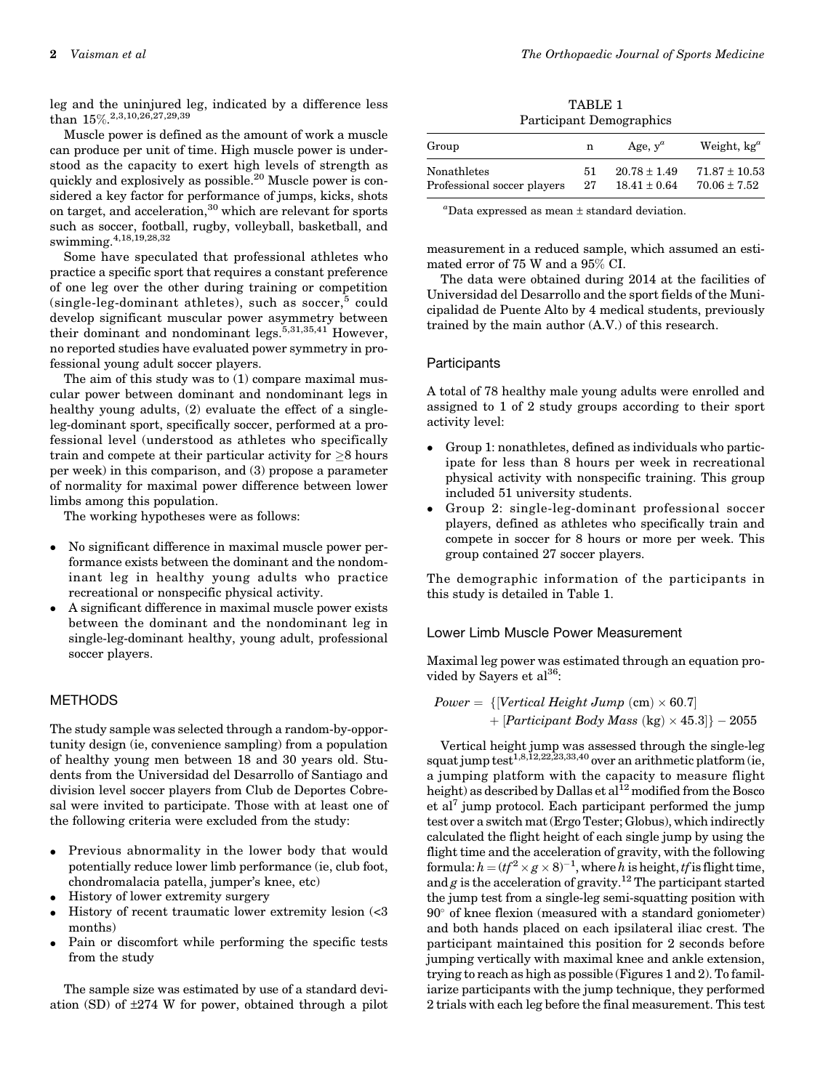leg and the uninjured leg, indicated by a difference less than  $15\%$ .<sup>2,3,10,26,27,29,39</sup>

Muscle power is defined as the amount of work a muscle can produce per unit of time. High muscle power is understood as the capacity to exert high levels of strength as quickly and explosively as possible.<sup>20</sup> Muscle power is considered a key factor for performance of jumps, kicks, shots on target, and acceleration, $30$  which are relevant for sports such as soccer, football, rugby, volleyball, basketball, and swimming.<sup>4,18,19,28,32</sup>

Some have speculated that professional athletes who practice a specific sport that requires a constant preference of one leg over the other during training or competition  $(single-leg-dominant)$  athletes), such as soccer,<sup>5</sup> could develop significant muscular power asymmetry between their dominant and nondominant legs.<sup>5,31,35,41</sup> However, no reported studies have evaluated power symmetry in professional young adult soccer players.

The aim of this study was to (1) compare maximal muscular power between dominant and nondominant legs in healthy young adults, (2) evaluate the effect of a singleleg-dominant sport, specifically soccer, performed at a professional level (understood as athletes who specifically train and compete at their particular activity for  $\geq$ 8 hours per week) in this comparison, and (3) propose a parameter of normality for maximal power difference between lower limbs among this population.

The working hypotheses were as follows:

- No significant difference in maximal muscle power performance exists between the dominant and the nondominant leg in healthy young adults who practice recreational or nonspecific physical activity.
- A significant difference in maximal muscle power exists between the dominant and the nondominant leg in single-leg-dominant healthy, young adult, professional soccer players.

#### METHODS

The study sample was selected through a random-by-opportunity design (ie, convenience sampling) from a population of healthy young men between 18 and 30 years old. Students from the Universidad del Desarrollo of Santiago and division level soccer players from Club de Deportes Cobresal were invited to participate. Those with at least one of the following criteria were excluded from the study:

- Previous abnormality in the lower body that would potentially reduce lower limb performance (ie, club foot, chondromalacia patella, jumper's knee, etc)
- History of lower extremity surgery
- History of recent traumatic lower extremity lesion (<3 months)
- Pain or discomfort while performing the specific tests from the study

The sample size was estimated by use of a standard deviation  $(SD)$  of  $\pm 274$  W for power, obtained through a pilot

TABLE 1 Participant Demographics

| Group                       | n  | Age, $v^a$       | Weight, $kga$     |
|-----------------------------|----|------------------|-------------------|
| Nonathletes                 | 51 | $20.78 \pm 1.49$ | $71.87 \pm 10.53$ |
| Professional soccer players | 27 | $18.41 \pm 0.64$ | $70.06 \pm 7.52$  |

a Data expressed as mean ± standard deviation.

measurement in a reduced sample, which assumed an estimated error of 75 W and a 95% CI.

The data were obtained during 2014 at the facilities of Universidad del Desarrollo and the sport fields of the Municipalidad de Puente Alto by 4 medical students, previously trained by the main author (A.V.) of this research.

#### **Participants**

A total of 78 healthy male young adults were enrolled and assigned to 1 of 2 study groups according to their sport activity level:

- Group 1: nonathletes, defined as individuals who participate for less than 8 hours per week in recreational physical activity with nonspecific training. This group included 51 university students.
- Group 2: single-leg-dominant professional soccer players, defined as athletes who specifically train and compete in soccer for 8 hours or more per week. This group contained 27 soccer players.

The demographic information of the participants in this study is detailed in Table 1.

#### Lower Limb Muscle Power Measurement

Maximal leg power was estimated through an equation provided by Sayers et al<sup>36</sup>:

$$
Power = \{[Vertical Height Jump (cm) \times 60.7] + [Participant Body Mass (kg) \times 45.3]\} - 2055
$$

Vertical height jump was assessed through the single-leg squat jump test<sup>1,8,12,22,23,33,40</sup> over an arithmetic platform (ie, a jumping platform with the capacity to measure flight height) as described by Dallas et  $al^{\hat{1}2}$  modified from the Bosco et al<sup>7</sup> jump protocol. Each participant performed the jump test over a switch mat (Ergo Tester; Globus), which indirectly calculated the flight height of each single jump by using the flight time and the acceleration of gravity, with the following formula:  $h = (tf^2 \times g \times 8)^{-1}$ , where  $h$  is height, tf is flight time, and  $g$  is the acceleration of gravity.<sup>12</sup> The participant started the jump test from a single-leg semi-squatting position with  $90^{\circ}$  of knee flexion (measured with a standard goniometer) and both hands placed on each ipsilateral iliac crest. The participant maintained this position for 2 seconds before jumping vertically with maximal knee and ankle extension, trying to reach as high as possible (Figures 1 and 2). To familiarize participants with the jump technique, they performed 2 trials with each leg before the final measurement. This test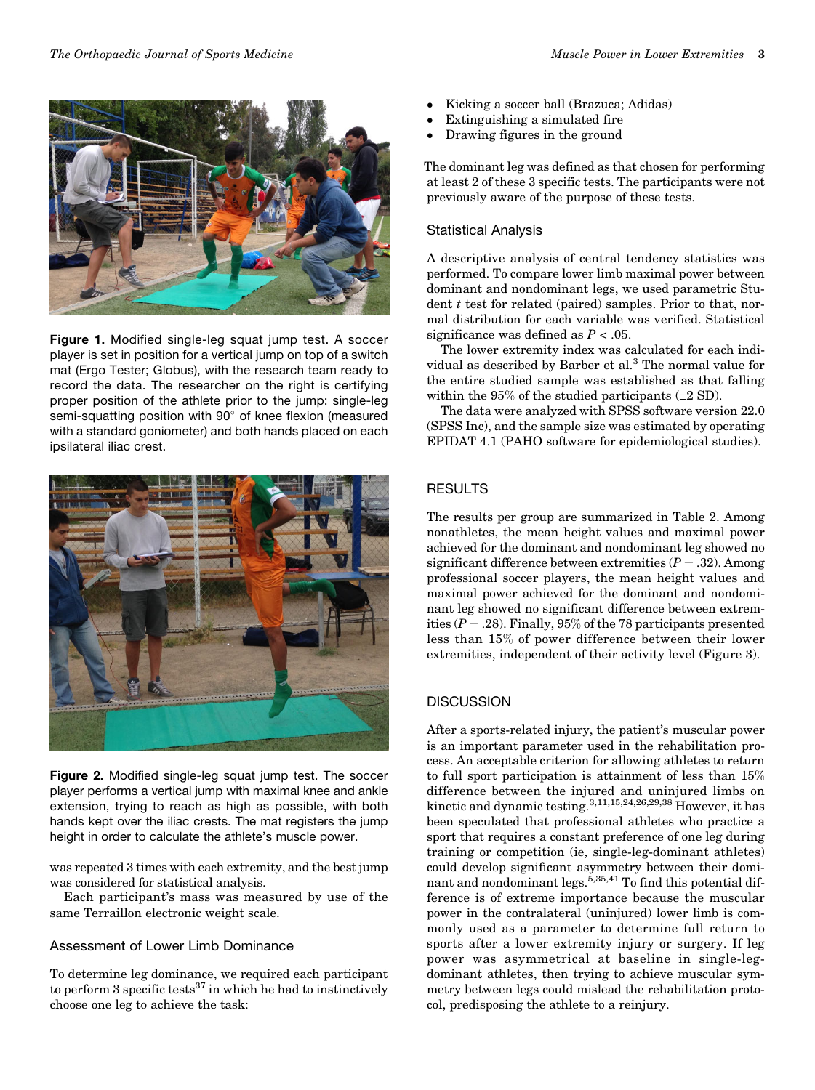

Figure 1. Modified single-leg squat jump test. A soccer player is set in position for a vertical jump on top of a switch mat (Ergo Tester; Globus), with the research team ready to record the data. The researcher on the right is certifying proper position of the athlete prior to the jump: single-leg semi-squatting position with 90° of knee flexion (measured with a standard goniometer) and both hands placed on each ipsilateral iliac crest.



Figure 2. Modified single-leg squat jump test. The soccer player performs a vertical jump with maximal knee and ankle extension, trying to reach as high as possible, with both hands kept over the iliac crests. The mat registers the jump height in order to calculate the athlete's muscle power.

was repeated 3 times with each extremity, and the best jump was considered for statistical analysis.

Each participant's mass was measured by use of the same Terraillon electronic weight scale.

# Assessment of Lower Limb Dominance

To determine leg dominance, we required each participant to perform  $3$  specific tests<sup>37</sup> in which he had to instinctively choose one leg to achieve the task:

- Kicking a soccer ball (Brazuca; Adidas)
- Extinguishing a simulated fire
- Drawing figures in the ground

The dominant leg was defined as that chosen for performing at least 2 of these 3 specific tests. The participants were not previously aware of the purpose of these tests.

### Statistical Analysis

A descriptive analysis of central tendency statistics was performed. To compare lower limb maximal power between dominant and nondominant legs, we used parametric Student  $t$  test for related (paired) samples. Prior to that, normal distribution for each variable was verified. Statistical significance was defined as  $P < .05$ .

The lower extremity index was calculated for each individual as described by Barber et al.<sup>3</sup> The normal value for the entire studied sample was established as that falling within the 95% of the studied participants (±2 SD).

The data were analyzed with SPSS software version 22.0 (SPSS Inc), and the sample size was estimated by operating EPIDAT 4.1 (PAHO software for epidemiological studies).

# **RESULTS**

The results per group are summarized in Table 2. Among nonathletes, the mean height values and maximal power achieved for the dominant and nondominant leg showed no significant difference between extremities  $(P = .32)$ . Among professional soccer players, the mean height values and maximal power achieved for the dominant and nondominant leg showed no significant difference between extremities ( $P = .28$ ). Finally, 95% of the 78 participants presented less than 15% of power difference between their lower extremities, independent of their activity level (Figure 3).

# **DISCUSSION**

After a sports-related injury, the patient's muscular power is an important parameter used in the rehabilitation process. An acceptable criterion for allowing athletes to return to full sport participation is attainment of less than 15% difference between the injured and uninjured limbs on kinetic and dynamic testing.<sup>3,11,15,24,26,29,38</sup> However, it has been speculated that professional athletes who practice a sport that requires a constant preference of one leg during training or competition (ie, single-leg-dominant athletes) could develop significant asymmetry between their dominant and nondominant legs.<sup>5,35,41</sup> To find this potential difference is of extreme importance because the muscular power in the contralateral (uninjured) lower limb is commonly used as a parameter to determine full return to sports after a lower extremity injury or surgery. If leg power was asymmetrical at baseline in single-legdominant athletes, then trying to achieve muscular symmetry between legs could mislead the rehabilitation protocol, predisposing the athlete to a reinjury.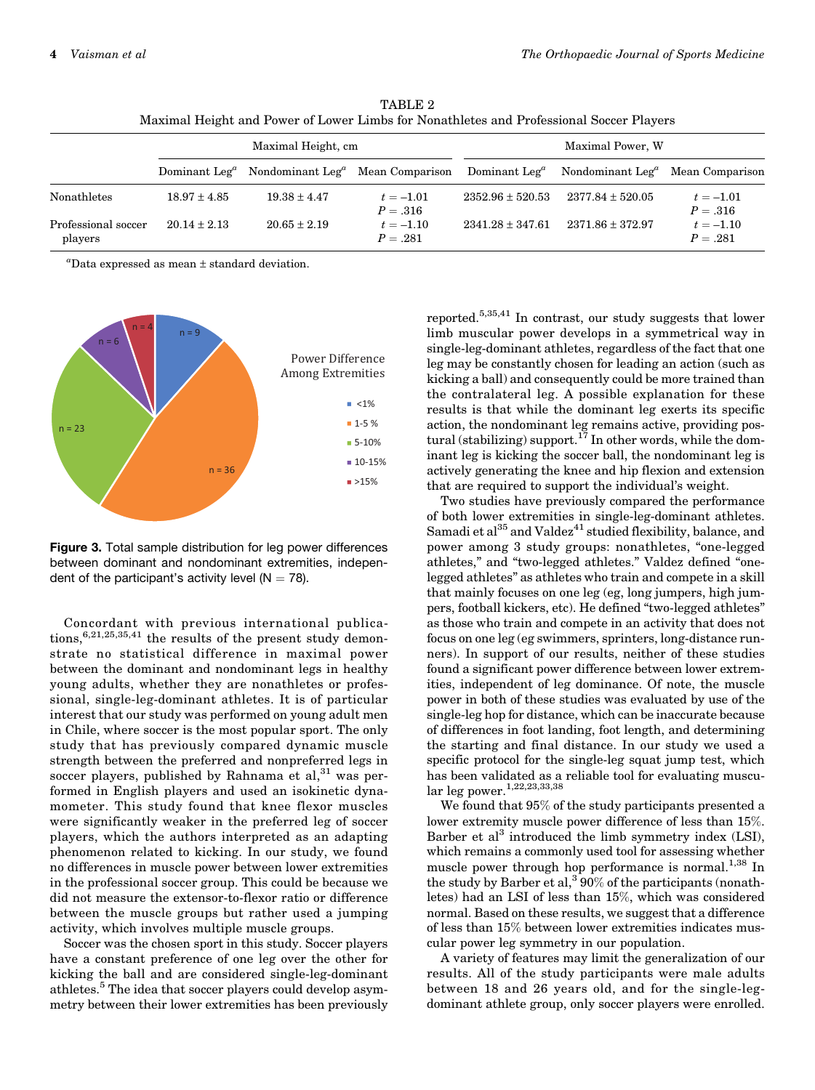| maximar rieight and I ower or hower limited for Fouranteles and I rotessional Soccer Thayers |                    |                                                                                                  |                           |                      |                      |                           |  |  |
|----------------------------------------------------------------------------------------------|--------------------|--------------------------------------------------------------------------------------------------|---------------------------|----------------------|----------------------|---------------------------|--|--|
|                                                                                              | Maximal Height, cm |                                                                                                  |                           | Maximal Power, W     |                      |                           |  |  |
|                                                                                              |                    | Dominant Leg <sup>a</sup> Nondominant Leg <sup>a</sup> Mean Comparison Dominant Leg <sup>a</sup> |                           |                      | Nondominant Leg $^a$ | Mean Comparison           |  |  |
| <b>Nonathletes</b>                                                                           | $18.97 \pm 4.85$   | $19.38 \pm 4.47$                                                                                 | $t = -1.01$<br>$P = .316$ | $2352.96 \pm 520.53$ | $2377.84 \pm 520.05$ | $t = -1.01$<br>$P=.316$   |  |  |
| Professional soccer<br>players                                                               | $20.14 \pm 2.13$   | $20.65 \pm 2.19$                                                                                 | $t = -1.10$<br>$P = .281$ | $2341.28 \pm 347.61$ | $2371.86 \pm 372.97$ | $t = -1.10$<br>$P = .281$ |  |  |

TABLE 2 Maximal Height and Power of Lower Limbs for Nonathletes and Professional Soccer Players

a Data expressed as mean ± standard deviation.



Figure 3. Total sample distribution for leg power differences between dominant and nondominant extremities, independent of the participant's activity level ( $N = 78$ ).

Concordant with previous international publications,6,21,25,35,41 the results of the present study demonstrate no statistical difference in maximal power between the dominant and nondominant legs in healthy young adults, whether they are nonathletes or professional, single-leg-dominant athletes. It is of particular interest that our study was performed on young adult men in Chile, where soccer is the most popular sport. The only study that has previously compared dynamic muscle strength between the preferred and nonpreferred legs in soccer players, published by Rahnama et al, $31$  was performed in English players and used an isokinetic dynamometer. This study found that knee flexor muscles were significantly weaker in the preferred leg of soccer players, which the authors interpreted as an adapting phenomenon related to kicking. In our study, we found no differences in muscle power between lower extremities in the professional soccer group. This could be because we did not measure the extensor-to-flexor ratio or difference between the muscle groups but rather used a jumping activity, which involves multiple muscle groups.

Soccer was the chosen sport in this study. Soccer players have a constant preference of one leg over the other for kicking the ball and are considered single-leg-dominant athletes.<sup>5</sup> The idea that soccer players could develop asymmetry between their lower extremities has been previously reported.5,35,41 In contrast, our study suggests that lower limb muscular power develops in a symmetrical way in single-leg-dominant athletes, regardless of the fact that one leg may be constantly chosen for leading an action (such as kicking a ball) and consequently could be more trained than the contralateral leg. A possible explanation for these results is that while the dominant leg exerts its specific action, the nondominant leg remains active, providing postural (stabilizing) support.<sup>17</sup> In other words, while the dominant leg is kicking the soccer ball, the nondominant leg is actively generating the knee and hip flexion and extension that are required to support the individual's weight.

Two studies have previously compared the performance of both lower extremities in single-leg-dominant athletes. Samadi et al<sup>35</sup> and Valdez<sup>41</sup> studied flexibility, balance, and power among 3 study groups: nonathletes, "one-legged athletes," and "two-legged athletes." Valdez defined "onelegged athletes" as athletes who train and compete in a skill that mainly focuses on one leg (eg, long jumpers, high jumpers, football kickers, etc). He defined "two-legged athletes" as those who train and compete in an activity that does not focus on one leg (eg swimmers, sprinters, long-distance runners). In support of our results, neither of these studies found a significant power difference between lower extremities, independent of leg dominance. Of note, the muscle power in both of these studies was evaluated by use of the single-leg hop for distance, which can be inaccurate because of differences in foot landing, foot length, and determining the starting and final distance. In our study we used a specific protocol for the single-leg squat jump test, which has been validated as a reliable tool for evaluating muscular leg power.<sup>1,22,23,33,38</sup>

We found that 95% of the study participants presented a lower extremity muscle power difference of less than 15%. Barber et  $al<sup>3</sup>$  introduced the limb symmetry index (LSI). which remains a commonly used tool for assessing whether muscle power through hop performance is normal.<sup>1,38</sup> In the study by Barber et al,  $390\%$  of the participants (nonathletes) had an LSI of less than 15%, which was considered normal. Based on these results, we suggest that a difference of less than 15% between lower extremities indicates muscular power leg symmetry in our population.

A variety of features may limit the generalization of our results. All of the study participants were male adults between 18 and 26 years old, and for the single-legdominant athlete group, only soccer players were enrolled.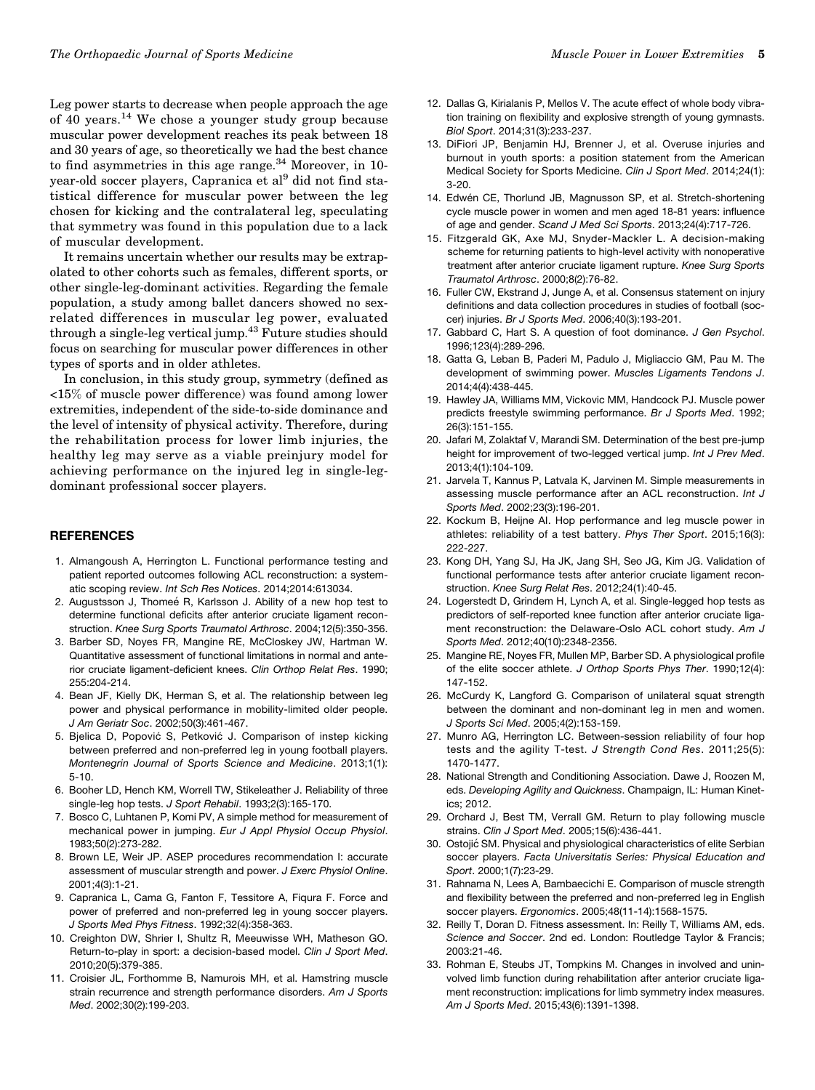Leg power starts to decrease when people approach the age of 40 years.<sup>14</sup> We chose a younger study group because muscular power development reaches its peak between 18 and 30 years of age, so theoretically we had the best chance to find asymmetries in this age range.<sup>34</sup> Moreover, in 10year-old soccer players, Capranica et al<sup>9</sup> did not find statistical difference for muscular power between the leg chosen for kicking and the contralateral leg, speculating that symmetry was found in this population due to a lack of muscular development.

It remains uncertain whether our results may be extrapolated to other cohorts such as females, different sports, or other single-leg-dominant activities. Regarding the female population, a study among ballet dancers showed no sexrelated differences in muscular leg power, evaluated through a single-leg vertical jump.<sup>43</sup> Future studies should focus on searching for muscular power differences in other types of sports and in older athletes.

In conclusion, in this study group, symmetry (defined as <15% of muscle power difference) was found among lower extremities, independent of the side-to-side dominance and the level of intensity of physical activity. Therefore, during the rehabilitation process for lower limb injuries, the healthy leg may serve as a viable preinjury model for achieving performance on the injured leg in single-legdominant professional soccer players.

#### **REFERENCES**

- 1. Almangoush A, Herrington L. Functional performance testing and patient reported outcomes following ACL reconstruction: a systematic scoping review. Int Sch Res Notices. 2014;2014:613034.
- 2. Augustsson J, Thomeé R, Karlsson J. Ability of a new hop test to determine functional deficits after anterior cruciate ligament reconstruction. Knee Surg Sports Traumatol Arthrosc. 2004;12(5):350-356.
- 3. Barber SD, Noyes FR, Mangine RE, McCloskey JW, Hartman W. Quantitative assessment of functional limitations in normal and anterior cruciate ligament-deficient knees. Clin Orthop Relat Res. 1990; 255:204-214.
- 4. Bean JF, Kielly DK, Herman S, et al. The relationship between leg power and physical performance in mobility-limited older people. J Am Geriatr Soc. 2002;50(3):461-467.
- 5. Bjelica D, Popović S, Petković J. Comparison of instep kicking between preferred and non-preferred leg in young football players. Montenegrin Journal of Sports Science and Medicine. 2013;1(1): 5-10.
- 6. Booher LD, Hench KM, Worrell TW, Stikeleather J. Reliability of three single-leg hop tests. J Sport Rehabil. 1993;2(3):165-170.
- 7. Bosco C, Luhtanen P, Komi PV, A simple method for measurement of mechanical power in jumping. Eur J Appl Physiol Occup Physiol. 1983;50(2):273-282.
- 8. Brown LE, Weir JP. ASEP procedures recommendation I: accurate assessment of muscular strength and power. J Exerc Physiol Online. 2001;4(3):1-21.
- 9. Capranica L, Cama G, Fanton F, Tessitore A, Fiqura F. Force and power of preferred and non-preferred leg in young soccer players. J Sports Med Phys Fitness. 1992;32(4):358-363.
- 10. Creighton DW, Shrier I, Shultz R, Meeuwisse WH, Matheson GO. Return-to-play in sport: a decision-based model. Clin J Sport Med. 2010;20(5):379-385.
- 11. Croisier JL, Forthomme B, Namurois MH, et al. Hamstring muscle strain recurrence and strength performance disorders. Am J Sports Med. 2002;30(2):199-203.
- 12. Dallas G, Kirialanis P, Mellos V. The acute effect of whole body vibration training on flexibility and explosive strength of young gymnasts. Biol Sport. 2014;31(3):233-237.
- 13. DiFiori JP, Benjamin HJ, Brenner J, et al. Overuse injuries and burnout in youth sports: a position statement from the American Medical Society for Sports Medicine. Clin J Sport Med. 2014;24(1): 3-20.
- 14. Edwén CE, Thorlund JB, Magnusson SP, et al. Stretch-shortening cycle muscle power in women and men aged 18-81 years: influence of age and gender. Scand J Med Sci Sports. 2013;24(4):717-726.
- 15. Fitzgerald GK, Axe MJ, Snyder-Mackler L. A decision-making scheme for returning patients to high-level activity with nonoperative treatment after anterior cruciate ligament rupture. Knee Surg Sports Traumatol Arthrosc. 2000;8(2):76-82.
- 16. Fuller CW, Ekstrand J, Junge A, et al. Consensus statement on injury definitions and data collection procedures in studies of football (soccer) injuries. Br J Sports Med. 2006;40(3):193-201.
- 17. Gabbard C, Hart S. A question of foot dominance. J Gen Psychol. 1996;123(4):289-296.
- 18. Gatta G, Leban B, Paderi M, Padulo J, Migliaccio GM, Pau M. The development of swimming power. Muscles Ligaments Tendons J. 2014;4(4):438-445.
- 19. Hawley JA, Williams MM, Vickovic MM, Handcock PJ. Muscle power predicts freestyle swimming performance. Br J Sports Med. 1992; 26(3):151-155.
- 20. Jafari M, Zolaktaf V, Marandi SM. Determination of the best pre-jump height for improvement of two-legged vertical jump. Int J Prev Med. 2013;4(1):104-109.
- 21. Jarvela T, Kannus P, Latvala K, Jarvinen M. Simple measurements in assessing muscle performance after an ACL reconstruction. Int J Sports Med. 2002;23(3):196-201.
- 22. Kockum B, Heijne AI. Hop performance and leg muscle power in athletes: reliability of a test battery. Phys Ther Sport. 2015;16(3): 222-227.
- 23. Kong DH, Yang SJ, Ha JK, Jang SH, Seo JG, Kim JG. Validation of functional performance tests after anterior cruciate ligament reconstruction. Knee Surg Relat Res. 2012;24(1):40-45.
- 24. Logerstedt D, Grindem H, Lynch A, et al. Single-legged hop tests as predictors of self-reported knee function after anterior cruciate ligament reconstruction: the Delaware-Oslo ACL cohort study. Am J Sports Med. 2012;40(10):2348-2356.
- 25. Mangine RE, Noyes FR, Mullen MP, Barber SD. A physiological profile of the elite soccer athlete. J Orthop Sports Phys Ther. 1990;12(4): 147-152.
- 26. McCurdy K, Langford G. Comparison of unilateral squat strength between the dominant and non-dominant leg in men and women. J Sports Sci Med. 2005;4(2):153-159.
- 27. Munro AG, Herrington LC. Between-session reliability of four hop tests and the agility T-test. J Strength Cond Res. 2011;25(5): 1470-1477.
- 28. National Strength and Conditioning Association. Dawe J, Roozen M, eds. Developing Agility and Quickness. Champaign, IL: Human Kinetics; 2012.
- 29. Orchard J, Best TM, Verrall GM. Return to play following muscle strains. Clin J Sport Med. 2005;15(6):436-441.
- 30. Ostojić SM. Physical and physiological characteristics of elite Serbian soccer players. Facta Universitatis Series: Physical Education and Sport. 2000;1(7):23-29.
- 31. Rahnama N, Lees A, Bambaecichi E. Comparison of muscle strength and flexibility between the preferred and non-preferred leg in English soccer players. Ergonomics. 2005;48(11-14):1568-1575.
- 32. Reilly T, Doran D. Fitness assessment. In: Reilly T, Williams AM, eds. Science and Soccer. 2nd ed. London: Routledge Taylor & Francis; 2003:21-46.
- 33. Rohman E, Steubs JT, Tompkins M. Changes in involved and uninvolved limb function during rehabilitation after anterior cruciate ligament reconstruction: implications for limb symmetry index measures. Am J Sports Med. 2015;43(6):1391-1398.